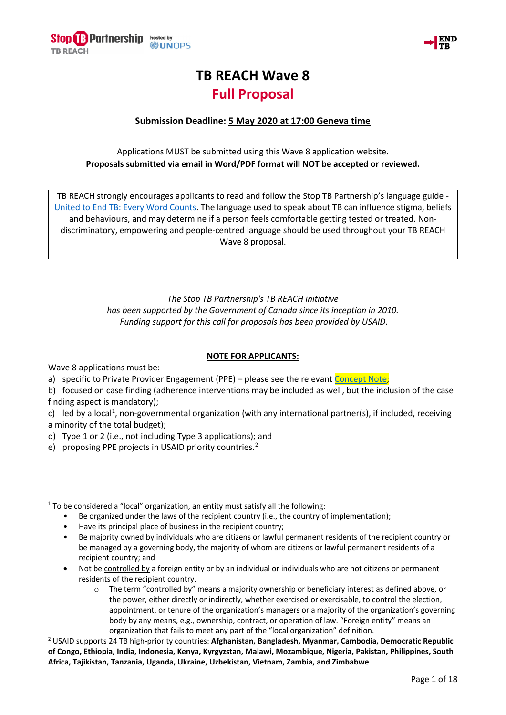



## **TB REACH Wave 8 Full Proposal**

## **Submission Deadline: 5 May 2020 at 17:00 Geneva time**

Applications MUST be submitted using this Wave 8 application website. **Proposals submitted via email in Word/PDF format will NOT be accepted or reviewed.**

TB REACH strongly encourages applicants to read and follow the Stop TB Partnership's language guide - United to End TB: Every Word Counts. The language used to speak about TB can influence stigma, beliefs and behaviours, and may determine if a person feels comfortable getting tested or treated. Nondiscriminatory, empowering and people-centred language should be used throughout your TB REACH Wave 8 proposal. The SEACH strongly encourages applicants to read and follow the Stop TB P<br>nited to End TB: Every Word Counts. The language used to seek about Ti<br>and behaviours, and may determine if a person fears comfortable getti<br>discrim The state of the term of the state of the following the particular and the term of the state of the state of the state of the state of the state of the state of the state of the state of the state of the state of the state

*The Stop TB Partnership's TB REACH initiative* The Step 73 Partnership's TB REACH Initiative<br>has been supported by the Government of Canada since its inception in 2010.<br>Funding support for this call for proposals has been provided by 15AID. *Funding support for this call for proposals has been provided by USAID.* The Step Te Partnership's TB REAC Unitiative<br>orted by the Government of Canada since its inception in/2010.<br>
Solution this call for proposals has been provided by USAID.<br>
NOTE FORAPPLICANTS:<br>
TEngagement (PP) – please see

**NOTE FOR APPLICANTS:**

Wave 8 applications must be:

- a) specific to Private Provider Engagement (PPL) please see the relevant Concept
- b) focused on case finding (adherence interventions may be included as well, but the inclusion of the case finding  $(spe(t)$  is mandatory);
- c) led by a local<sup>1</sup>, non-governmental organization (with any international partner(s), if included, receiving a minority of the total budget);
- d) Type 1 or 2 (i.e., not in cluding Type 3 applications); and
- e) proposing PPE projects in USAID priority countries

<span id="page-0-0"></span><sup>1</sup> To be considered a "local" organization, an entity must catisfy all the following:

- Be organized under the laws on the recipient country (i.e., the country of implementation);
- Have its principal place of business in the recipient country;
- **Example 18 Follows of a citizens in the country,**<br>Be majority owned by individuals who are citizens or lawful permanent residents of the recipient country or be managed by a governing body, the majority of whom are citizens or lawful permanent residents of a recipient country; and The store as a particular is the second three is inception in the computation of the computation of the computation of the case<br>of the computation of the proposal and since its inception in a state.<br>
Second for this call f
- Not be controlled by a fore gn entity or by an individual or individuals who are not citizens or permanent residents of the recipient country.
	- $\circ$  The term "controlled by" means a majority ownership or beneficiary interest as defined above, or the power, either directly or indirectly, whether exercised or exercisable, to control the election, appointment, or tenure of the organization's managers or a majority of the organization's governing body by any means, e.g., ownership, contract, or operation of law. "Foreign entity" means an organization that fails to meet any part of the "local organization" definition.

<span id="page-0-1"></span><sup>2</sup> USAID supports 24 TB high-priority countries: **Afghanistan, Bangladesh, Myanmar, Cambodia, Democratic Republic of Congo, Ethiopia, India, Indonesia, Kenya, Kyrgyzstan, Malawi, Mozambique, Nigeria, Pakistan, Philippines, South Africa, Tajikistan, Tanzania, Uganda, Ukraine, Uzbekistan, Vietnam, Zambia, and Zimbabwe**